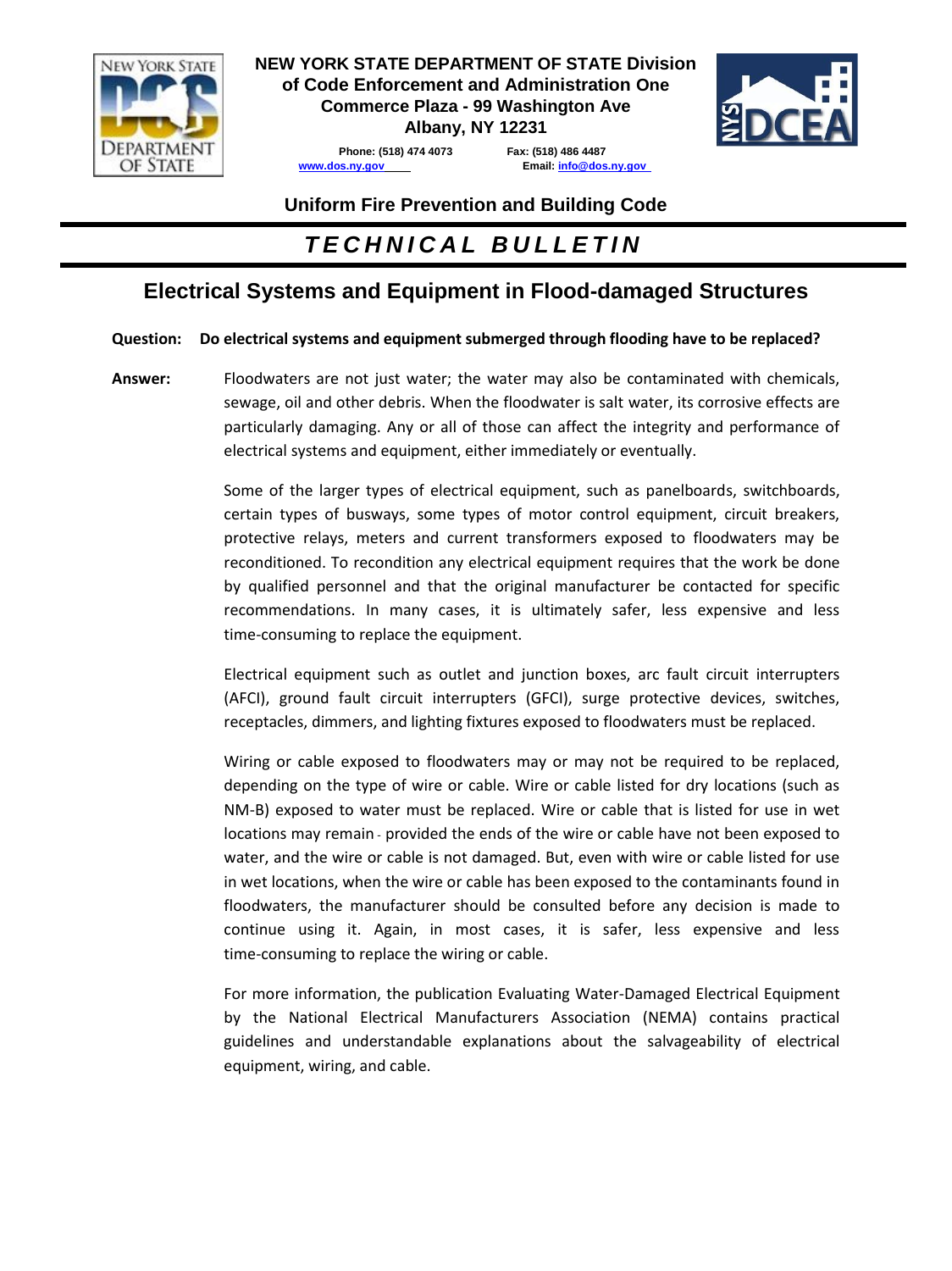

**NEW YORK STATE DEPARTMENT OF STATE Division of Code Enforcement and Administration One Commerce Plaza - 99 Washington Ave** 

**Albany, NY 12231**



**[www.dos.ny.gov](http://www.dos.ny.gov/) Email: [info@dos.ny.gov](mailto:info@dos.ny.gov)** 

**Phone: (518) 474 4073 Fax: (518) 486 4487** 

## **Uniform Fire Prevention and Building Code**

# *T E C H N I C A L B U L L E T I N*

# **Electrical Systems and Equipment in Flood-damaged Structures**

#### **Question: Do electrical systems and equipment submerged through flooding have to be replaced?**

**Answer:** Floodwaters are not just water; the water may also be contaminated with chemicals, sewage, oil and other debris. When the floodwater is salt water, its corrosive effects are particularly damaging. Any or all of those can affect the integrity and performance of electrical systems and equipment, either immediately or eventually.

> Some of the larger types of electrical equipment, such as panelboards, switchboards, certain types of busways, some types of motor control equipment, circuit breakers, protective relays, meters and current transformers exposed to floodwaters may be reconditioned. To recondition any electrical equipment requires that the work be done by qualified personnel and that the original manufacturer be contacted for specific recommendations. In many cases, it is ultimately safer, less expensive and less time-consuming to replace the equipment.

> Electrical equipment such as outlet and junction boxes, arc fault circuit interrupters (AFCI), ground fault circuit interrupters (GFCI), surge protective devices, switches, receptacles, dimmers, and lighting fixtures exposed to floodwaters must be replaced.

> Wiring or cable exposed to floodwaters may or may not be required to be replaced, depending on the type of wire or cable. Wire or cable listed for dry locations (such as NM-B) exposed to water must be replaced. Wire or cable that is listed for use in wet locations may remain - provided the ends of the wire or cable have not been exposed to water, and the wire or cable is not damaged. But, even with wire or cable listed for use in wet locations, when the wire or cable has been exposed to the contaminants found in floodwaters, the manufacturer should be consulted before any decision is made to continue using it. Again, in most cases, it is safer, less expensive and less time-consuming to replace the wiring or cable.

> For more information, the publication Evaluating Water-Damaged Electrical Equipment by the National Electrical Manufacturers Association (NEMA) contains practical guidelines and understandable explanations about the salvageability of electrical equipment, wiring, and cable.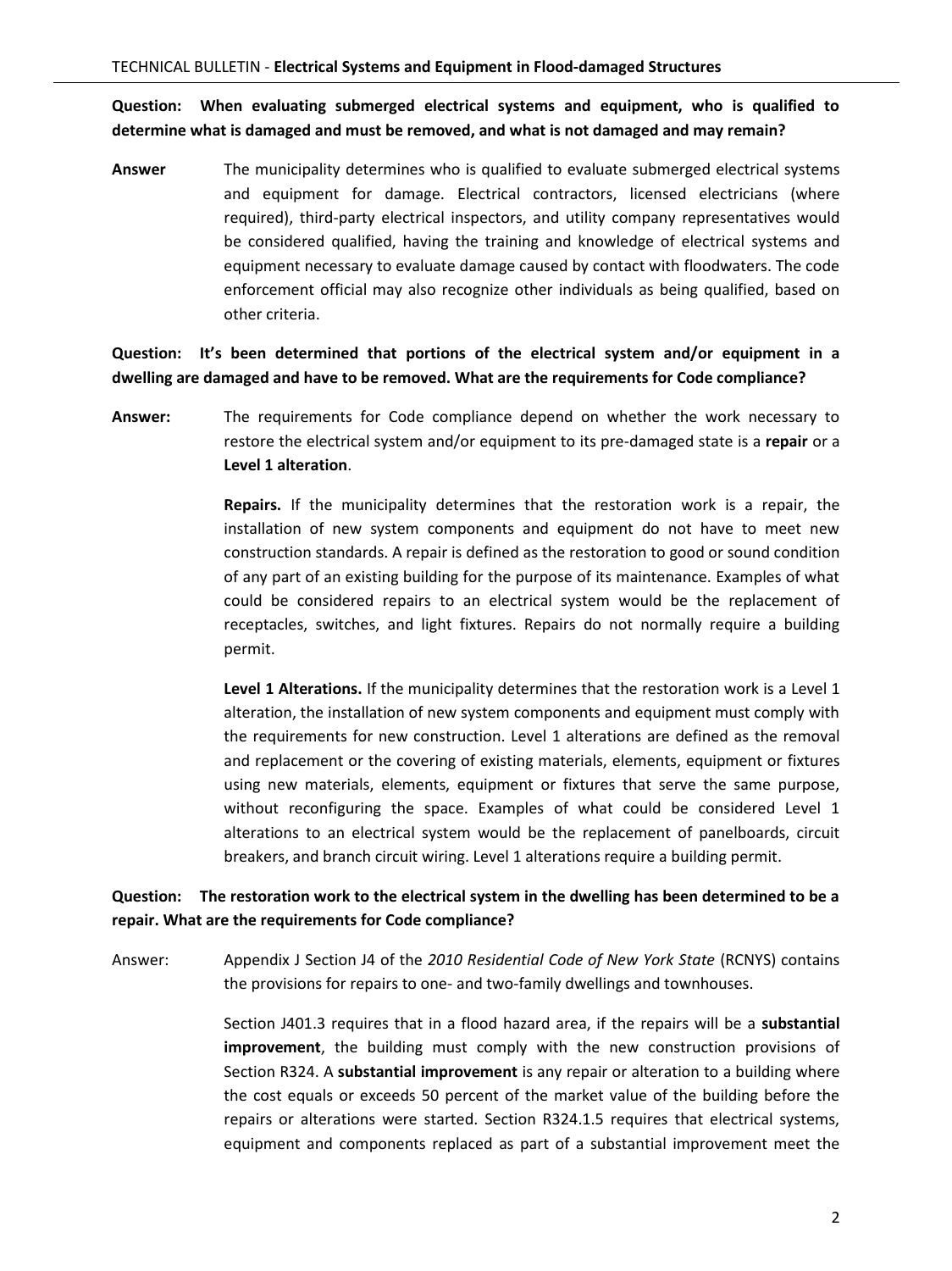**Question: When evaluating submerged electrical systems and equipment, who is qualified to determine what is damaged and must be removed, and what is not damaged and may remain?**

**Answer** The municipality determines who is qualified to evaluate submerged electrical systems and equipment for damage. Electrical contractors, licensed electricians (where required), third-party electrical inspectors, and utility company representatives would be considered qualified, having the training and knowledge of electrical systems and equipment necessary to evaluate damage caused by contact with floodwaters. The code enforcement official may also recognize other individuals as being qualified, based on other criteria.

**Question: It's been determined that portions of the electrical system and/or equipment in a dwelling are damaged and have to be removed. What are the requirements for Code compliance?**

**Answer:** The requirements for Code compliance depend on whether the work necessary to restore the electrical system and/or equipment to its pre-damaged state is a **repair** or a **Level 1 alteration**.

> **Repairs.** If the municipality determines that the restoration work is a repair, the installation of new system components and equipment do not have to meet new construction standards. A repair is defined as the restoration to good or sound condition of any part of an existing building for the purpose of its maintenance. Examples of what could be considered repairs to an electrical system would be the replacement of receptacles, switches, and light fixtures. Repairs do not normally require a building permit.

> **Level 1 Alterations.** If the municipality determines that the restoration work is a Level 1 alteration, the installation of new system components and equipment must comply with the requirements for new construction. Level 1 alterations are defined as the removal and replacement or the covering of existing materials, elements, equipment or fixtures using new materials, elements, equipment or fixtures that serve the same purpose, without reconfiguring the space. Examples of what could be considered Level 1 alterations to an electrical system would be the replacement of panelboards, circuit breakers, and branch circuit wiring. Level 1 alterations require a building permit.

#### **Question: The restoration work to the electrical system in the dwelling has been determined to be a repair. What are the requirements for Code compliance?**

Answer: Appendix J Section J4 of the *2010 Residential Code of New York State* (RCNYS) contains the provisions for repairs to one- and two-family dwellings and townhouses.

> Section J401.3 requires that in a flood hazard area, if the repairs will be a **substantial improvement**, the building must comply with the new construction provisions of Section R324. A **substantial improvement** is any repair or alteration to a building where the cost equals or exceeds 50 percent of the market value of the building before the repairs or alterations were started. Section R324.1.5 requires that electrical systems, equipment and components replaced as part of a substantial improvement meet the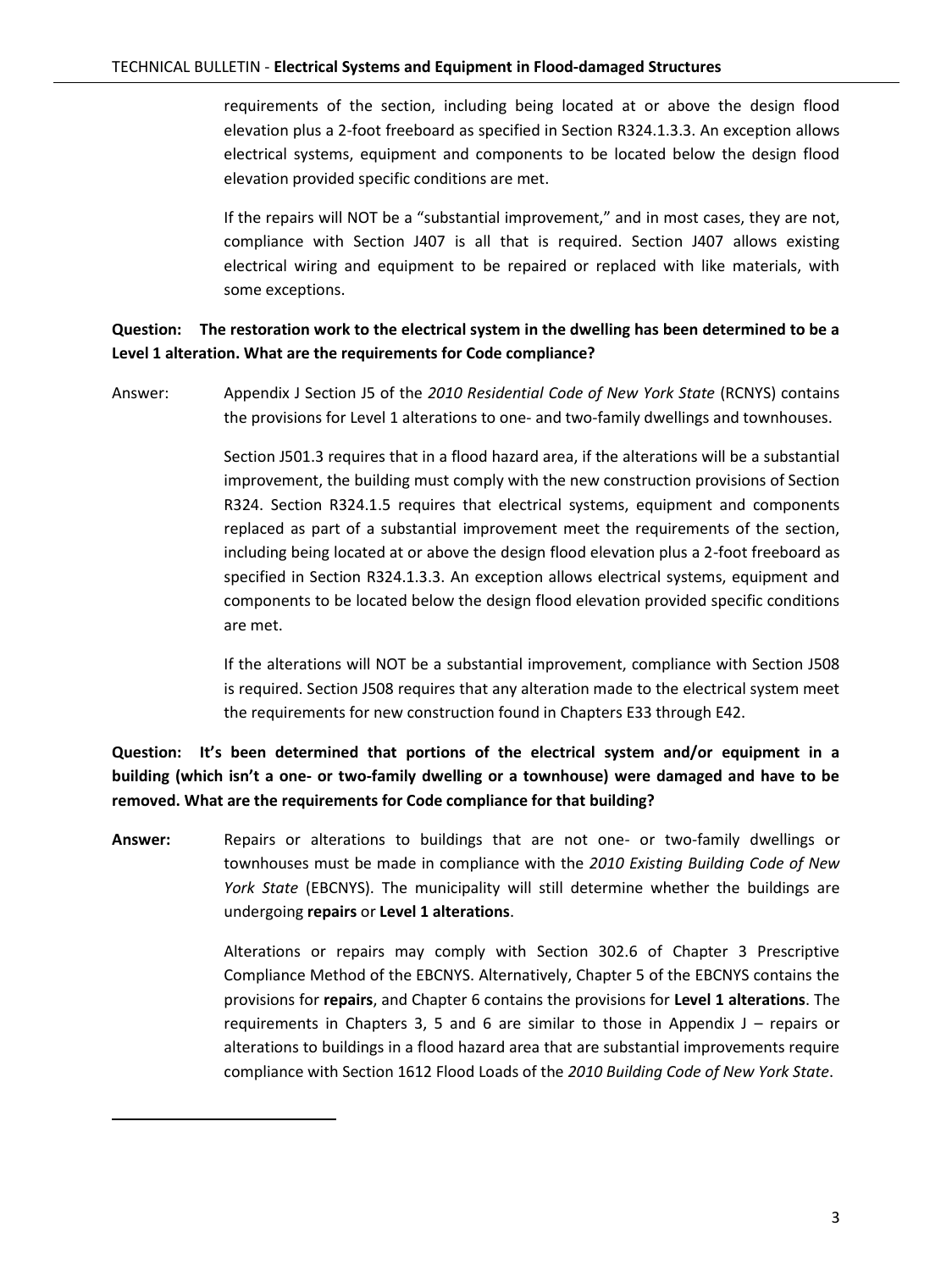requirements of the section, including being located at or above the design flood elevation plus a 2-foot freeboard as specified in Section R324.1.3.3. An exception allows electrical systems, equipment and components to be located below the design flood elevation provided specific conditions are met.

If the repairs will NOT be a "substantial improvement," and in most cases, they are not, compliance with Section J407 is all that is required. Section J407 allows existing electrical wiring and equipment to be repaired or replaced with like materials, with some exceptions.

### **Question: The restoration work to the electrical system in the dwelling has been determined to be a Level 1 alteration. What are the requirements for Code compliance?**

Answer: Appendix J Section J5 of the *2010 Residential Code of New York State* (RCNYS) contains the provisions for Level 1 alterations to one- and two-family dwellings and townhouses.

> Section J501.3 requires that in a flood hazard area, if the alterations will be a substantial improvement, the building must comply with the new construction provisions of Section R324. Section R324.1.5 requires that electrical systems, equipment and components replaced as part of a substantial improvement meet the requirements of the section, including being located at or above the design flood elevation plus a 2-foot freeboard as specified in Section R324.1.3.3. An exception allows electrical systems, equipment and components to be located below the design flood elevation provided specific conditions are met.

> If the alterations will NOT be a substantial improvement, compliance with Section J508 is required. Section J508 requires that any alteration made to the electrical system meet the requirements for new construction found in Chapters E33 through E42.

**Question: It's been determined that portions of the electrical system and/or equipment in a building (which isn't a one- or two-family dwelling or a townhouse) were damaged and have to be removed. What are the requirements for Code compliance for that building?** 

**Answer:** Repairs or alterations to buildings that are not one- or two-family dwellings or townhouses must be made in compliance with the *2010 Existing Building Code of New York State* (EBCNYS). The municipality will still determine whether the buildings are undergoing **repairs** or **Level 1 alterations**.

> Alterations or repairs may comply with Section 302.6 of Chapter 3 Prescriptive Compliance Method of the EBCNYS. Alternatively, Chapter 5 of the EBCNYS contains the provisions for **repairs**, and Chapter 6 contains the provisions for **Level 1 alterations**. The requirements in Chapters 3, 5 and 6 are similar to those in Appendix  $J -$  repairs or alterations to buildings in a flood hazard area that are substantial improvements require compliance with Section 1612 Flood Loads of the *2010 Building Code of New York State*.